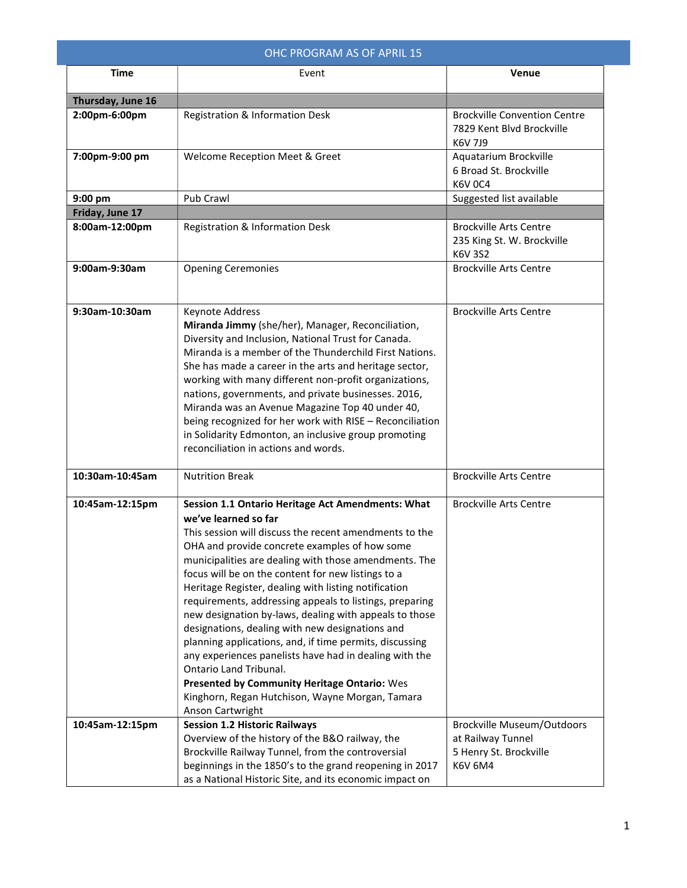| OHC PROGRAM AS OF APRIL 15 |                                                                                                                                                                                                                                                                                                                                                                                                                                                                                                                                                                                                                                                                                                                                                                                       |                                                                                  |
|----------------------------|---------------------------------------------------------------------------------------------------------------------------------------------------------------------------------------------------------------------------------------------------------------------------------------------------------------------------------------------------------------------------------------------------------------------------------------------------------------------------------------------------------------------------------------------------------------------------------------------------------------------------------------------------------------------------------------------------------------------------------------------------------------------------------------|----------------------------------------------------------------------------------|
| <b>Time</b>                | Event                                                                                                                                                                                                                                                                                                                                                                                                                                                                                                                                                                                                                                                                                                                                                                                 | <b>Venue</b>                                                                     |
| Thursday, June 16          |                                                                                                                                                                                                                                                                                                                                                                                                                                                                                                                                                                                                                                                                                                                                                                                       |                                                                                  |
| 2:00pm-6:00pm              | Registration & Information Desk                                                                                                                                                                                                                                                                                                                                                                                                                                                                                                                                                                                                                                                                                                                                                       | <b>Brockville Convention Centre</b><br>7829 Kent Blvd Brockville<br>K6V 7J9      |
| 7:00pm-9:00 pm             | Welcome Reception Meet & Greet                                                                                                                                                                                                                                                                                                                                                                                                                                                                                                                                                                                                                                                                                                                                                        | Aquatarium Brockville<br>6 Broad St. Brockville<br><b>K6V 0C4</b>                |
| 9:00 pm                    | Pub Crawl                                                                                                                                                                                                                                                                                                                                                                                                                                                                                                                                                                                                                                                                                                                                                                             | Suggested list available                                                         |
| Friday, June 17            |                                                                                                                                                                                                                                                                                                                                                                                                                                                                                                                                                                                                                                                                                                                                                                                       |                                                                                  |
| 8:00am-12:00pm             | Registration & Information Desk                                                                                                                                                                                                                                                                                                                                                                                                                                                                                                                                                                                                                                                                                                                                                       | <b>Brockville Arts Centre</b><br>235 King St. W. Brockville<br>K6V 3S2           |
| 9:00am-9:30am              | <b>Opening Ceremonies</b>                                                                                                                                                                                                                                                                                                                                                                                                                                                                                                                                                                                                                                                                                                                                                             | <b>Brockville Arts Centre</b>                                                    |
| 9:30am-10:30am             | Keynote Address<br>Miranda Jimmy (she/her), Manager, Reconciliation,<br>Diversity and Inclusion, National Trust for Canada.<br>Miranda is a member of the Thunderchild First Nations.<br>She has made a career in the arts and heritage sector,<br>working with many different non-profit organizations,<br>nations, governments, and private businesses. 2016,<br>Miranda was an Avenue Magazine Top 40 under 40,<br>being recognized for her work with RISE - Reconciliation<br>in Solidarity Edmonton, an inclusive group promoting<br>reconciliation in actions and words.                                                                                                                                                                                                        | <b>Brockville Arts Centre</b>                                                    |
| 10:30am-10:45am            | <b>Nutrition Break</b>                                                                                                                                                                                                                                                                                                                                                                                                                                                                                                                                                                                                                                                                                                                                                                | <b>Brockville Arts Centre</b>                                                    |
| 10:45am-12:15pm            | Session 1.1 Ontario Heritage Act Amendments: What<br>we've learned so far<br>This session will discuss the recent amendments to the<br>OHA and provide concrete examples of how some<br>municipalities are dealing with those amendments. The<br>focus will be on the content for new listings to a<br>Heritage Register, dealing with listing notification<br>requirements, addressing appeals to listings, preparing<br>new designation by-laws, dealing with appeals to those<br>designations, dealing with new designations and<br>planning applications, and, if time permits, discussing<br>any experiences panelists have had in dealing with the<br>Ontario Land Tribunal.<br>Presented by Community Heritage Ontario: Wes<br>Kinghorn, Regan Hutchison, Wayne Morgan, Tamara | <b>Brockville Arts Centre</b>                                                    |
| 10:45am-12:15pm            | Anson Cartwright<br><b>Session 1.2 Historic Railways</b><br>Overview of the history of the B&O railway, the<br>Brockville Railway Tunnel, from the controversial                                                                                                                                                                                                                                                                                                                                                                                                                                                                                                                                                                                                                      | <b>Brockville Museum/Outdoors</b><br>at Railway Tunnel<br>5 Henry St. Brockville |
|                            | beginnings in the 1850's to the grand reopening in 2017<br>as a National Historic Site, and its economic impact on                                                                                                                                                                                                                                                                                                                                                                                                                                                                                                                                                                                                                                                                    | <b>K6V 6M4</b>                                                                   |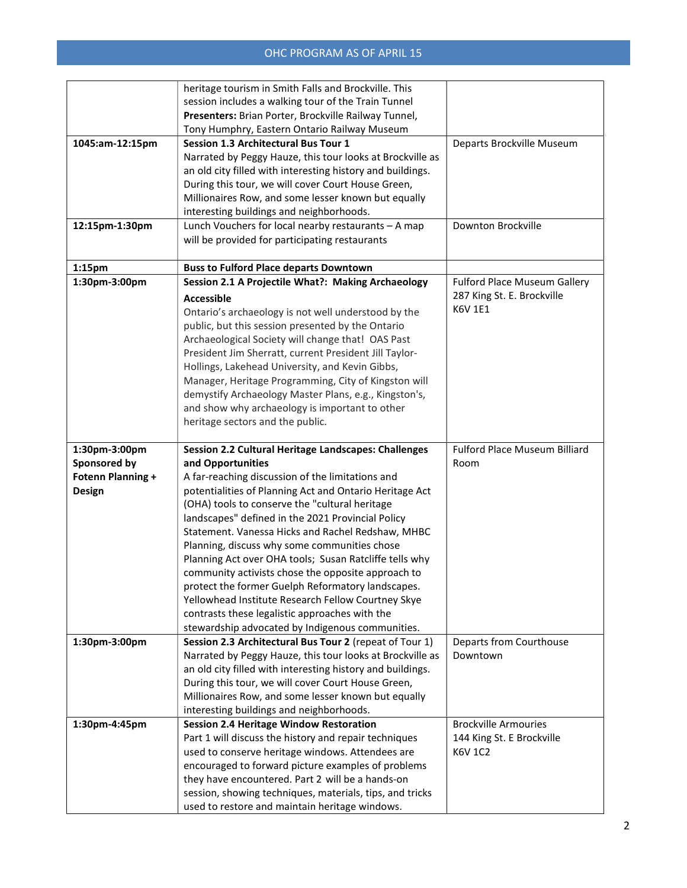|                          | heritage tourism in Smith Falls and Brockville. This                                                         |                               |
|--------------------------|--------------------------------------------------------------------------------------------------------------|-------------------------------|
|                          | session includes a walking tour of the Train Tunnel                                                          |                               |
|                          | Presenters: Brian Porter, Brockville Railway Tunnel,                                                         |                               |
|                          | Tony Humphry, Eastern Ontario Railway Museum                                                                 |                               |
| 1045:am-12:15pm          | <b>Session 1.3 Architectural Bus Tour 1</b>                                                                  | Departs Brockville Museum     |
|                          | Narrated by Peggy Hauze, this tour looks at Brockville as                                                    |                               |
|                          |                                                                                                              |                               |
|                          | an old city filled with interesting history and buildings.                                                   |                               |
|                          | During this tour, we will cover Court House Green,                                                           |                               |
|                          | Millionaires Row, and some lesser known but equally                                                          |                               |
|                          | interesting buildings and neighborhoods.                                                                     |                               |
| 12:15pm-1:30pm           | Lunch Vouchers for local nearby restaurants - A map                                                          | Downton Brockville            |
|                          | will be provided for participating restaurants                                                               |                               |
|                          |                                                                                                              |                               |
| $1:15$ pm                | <b>Buss to Fulford Place departs Downtown</b>                                                                |                               |
| 1:30pm-3:00pm            | Session 2.1 A Projectile What?: Making Archaeology                                                           | Fulford Place Museum Gallery  |
|                          | <b>Accessible</b>                                                                                            | 287 King St. E. Brockville    |
|                          | Ontario's archaeology is not well understood by the                                                          | <b>K6V 1E1</b>                |
|                          | public, but this session presented by the Ontario                                                            |                               |
|                          | Archaeological Society will change that! OAS Past                                                            |                               |
|                          | President Jim Sherratt, current President Jill Taylor-                                                       |                               |
|                          | Hollings, Lakehead University, and Kevin Gibbs,                                                              |                               |
|                          | Manager, Heritage Programming, City of Kingston will                                                         |                               |
|                          | demystify Archaeology Master Plans, e.g., Kingston's,                                                        |                               |
|                          | and show why archaeology is important to other                                                               |                               |
|                          | heritage sectors and the public.                                                                             |                               |
|                          |                                                                                                              |                               |
|                          |                                                                                                              |                               |
| 1:30pm-3:00pm            | Session 2.2 Cultural Heritage Landscapes: Challenges                                                         | Fulford Place Museum Billiard |
| Sponsored by             | and Opportunities                                                                                            | Room                          |
| <b>Fotenn Planning +</b> | A far-reaching discussion of the limitations and                                                             |                               |
|                          |                                                                                                              |                               |
| <b>Design</b>            | potentialities of Planning Act and Ontario Heritage Act<br>(OHA) tools to conserve the "cultural heritage    |                               |
|                          | landscapes" defined in the 2021 Provincial Policy                                                            |                               |
|                          | Statement. Vanessa Hicks and Rachel Redshaw, MHBC                                                            |                               |
|                          |                                                                                                              |                               |
|                          | Planning, discuss why some communities chose                                                                 |                               |
|                          | Planning Act over OHA tools; Susan Ratcliffe tells why                                                       |                               |
|                          | community activists chose the opposite approach to<br>protect the former Guelph Reformatory landscapes.      |                               |
|                          | Yellowhead Institute Research Fellow Courtney Skye                                                           |                               |
|                          |                                                                                                              |                               |
|                          | contrasts these legalistic approaches with the                                                               |                               |
| 1:30pm-3:00pm            | stewardship advocated by Indigenous communities.<br>Session 2.3 Architectural Bus Tour 2 (repeat of Tour 1)  | Departs from Courthouse       |
|                          | Narrated by Peggy Hauze, this tour looks at Brockville as                                                    | Downtown                      |
|                          |                                                                                                              |                               |
|                          | an old city filled with interesting history and buildings.                                                   |                               |
|                          | During this tour, we will cover Court House Green,                                                           |                               |
|                          | Millionaires Row, and some lesser known but equally                                                          |                               |
|                          | interesting buildings and neighborhoods.                                                                     |                               |
| 1:30pm-4:45pm            | <b>Session 2.4 Heritage Window Restoration</b>                                                               | <b>Brockville Armouries</b>   |
|                          | Part 1 will discuss the history and repair techniques                                                        | 144 King St. E Brockville     |
|                          | used to conserve heritage windows. Attendees are                                                             | K6V 1C2                       |
|                          | encouraged to forward picture examples of problems                                                           |                               |
|                          | they have encountered. Part 2 will be a hands-on<br>session, showing techniques, materials, tips, and tricks |                               |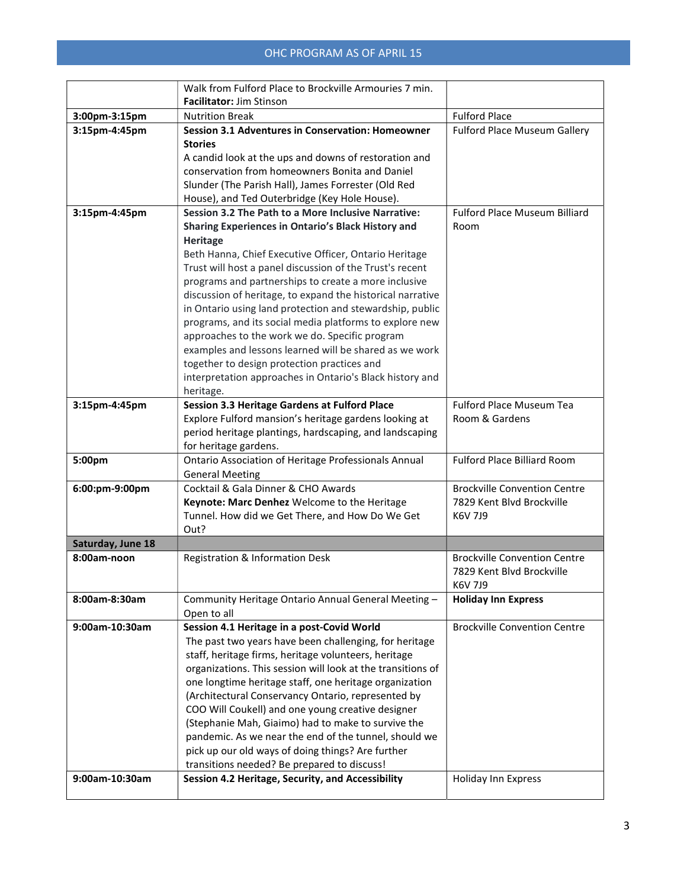|                   | Walk from Fulford Place to Brockville Armouries 7 min.      |                                      |
|-------------------|-------------------------------------------------------------|--------------------------------------|
|                   | <b>Facilitator: Jim Stinson</b>                             |                                      |
| 3:00pm-3:15pm     | <b>Nutrition Break</b>                                      | <b>Fulford Place</b>                 |
| 3:15pm-4:45pm     | <b>Session 3.1 Adventures in Conservation: Homeowner</b>    | Fulford Place Museum Gallery         |
|                   | <b>Stories</b>                                              |                                      |
|                   | A candid look at the ups and downs of restoration and       |                                      |
|                   | conservation from homeowners Bonita and Daniel              |                                      |
|                   | Slunder (The Parish Hall), James Forrester (Old Red         |                                      |
|                   | House), and Ted Outerbridge (Key Hole House).               |                                      |
| 3:15pm-4:45pm     | Session 3.2 The Path to a More Inclusive Narrative:         | <b>Fulford Place Museum Billiard</b> |
|                   | Sharing Experiences in Ontario's Black History and          | Room                                 |
|                   | <b>Heritage</b>                                             |                                      |
|                   | Beth Hanna, Chief Executive Officer, Ontario Heritage       |                                      |
|                   | Trust will host a panel discussion of the Trust's recent    |                                      |
|                   | programs and partnerships to create a more inclusive        |                                      |
|                   | discussion of heritage, to expand the historical narrative  |                                      |
|                   | in Ontario using land protection and stewardship, public    |                                      |
|                   | programs, and its social media platforms to explore new     |                                      |
|                   | approaches to the work we do. Specific program              |                                      |
|                   | examples and lessons learned will be shared as we work      |                                      |
|                   | together to design protection practices and                 |                                      |
|                   | interpretation approaches in Ontario's Black history and    |                                      |
|                   | heritage.                                                   |                                      |
| 3:15pm-4:45pm     | Session 3.3 Heritage Gardens at Fulford Place               | <b>Fulford Place Museum Tea</b>      |
|                   | Explore Fulford mansion's heritage gardens looking at       | Room & Gardens                       |
|                   | period heritage plantings, hardscaping, and landscaping     |                                      |
|                   | for heritage gardens.                                       |                                      |
| 5:00pm            | Ontario Association of Heritage Professionals Annual        | <b>Fulford Place Billiard Room</b>   |
|                   | <b>General Meeting</b>                                      |                                      |
| 6:00:pm-9:00pm    | Cocktail & Gala Dinner & CHO Awards                         | <b>Brockville Convention Centre</b>  |
|                   | Keynote: Marc Denhez Welcome to the Heritage                | 7829 Kent Blvd Brockville            |
|                   | Tunnel. How did we Get There, and How Do We Get             | K6V 7J9                              |
|                   | Out?                                                        |                                      |
| Saturday, June 18 |                                                             |                                      |
| 8:00am-noon       | Registration & Information Desk                             | <b>Brockville Convention Centre</b>  |
|                   |                                                             | 7829 Kent Blvd Brockville            |
|                   |                                                             | K6V 7J9                              |
| 8:00am-8:30am     | Community Heritage Ontario Annual General Meeting -         | <b>Holiday Inn Express</b>           |
|                   | Open to all                                                 |                                      |
| 9:00am-10:30am    | Session 4.1 Heritage in a post-Covid World                  | <b>Brockville Convention Centre</b>  |
|                   | The past two years have been challenging, for heritage      |                                      |
|                   | staff, heritage firms, heritage volunteers, heritage        |                                      |
|                   | organizations. This session will look at the transitions of |                                      |
|                   | one longtime heritage staff, one heritage organization      |                                      |
|                   | (Architectural Conservancy Ontario, represented by          |                                      |
|                   | COO Will Coukell) and one young creative designer           |                                      |
|                   | (Stephanie Mah, Giaimo) had to make to survive the          |                                      |
|                   | pandemic. As we near the end of the tunnel, should we       |                                      |
|                   | pick up our old ways of doing things? Are further           |                                      |
|                   | transitions needed? Be prepared to discuss!                 |                                      |
| 9:00am-10:30am    | Session 4.2 Heritage, Security, and Accessibility           | Holiday Inn Express                  |
|                   |                                                             |                                      |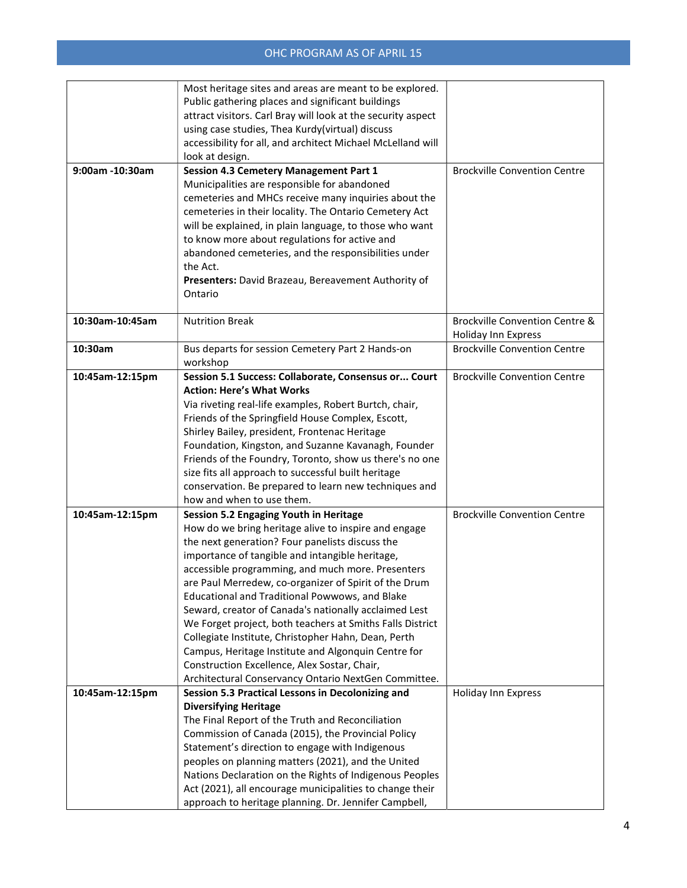|                 | Most heritage sites and areas are meant to be explored.                                                           |                                     |
|-----------------|-------------------------------------------------------------------------------------------------------------------|-------------------------------------|
|                 | Public gathering places and significant buildings                                                                 |                                     |
|                 | attract visitors. Carl Bray will look at the security aspect                                                      |                                     |
|                 | using case studies, Thea Kurdy(virtual) discuss                                                                   |                                     |
|                 | accessibility for all, and architect Michael McLelland will                                                       |                                     |
|                 | look at design.                                                                                                   |                                     |
| 9:00am -10:30am | <b>Session 4.3 Cemetery Management Part 1</b>                                                                     | <b>Brockville Convention Centre</b> |
|                 |                                                                                                                   |                                     |
|                 | Municipalities are responsible for abandoned                                                                      |                                     |
|                 | cemeteries and MHCs receive many inquiries about the                                                              |                                     |
|                 | cemeteries in their locality. The Ontario Cemetery Act                                                            |                                     |
|                 | will be explained, in plain language, to those who want                                                           |                                     |
|                 | to know more about regulations for active and                                                                     |                                     |
|                 | abandoned cemeteries, and the responsibilities under                                                              |                                     |
|                 | the Act.                                                                                                          |                                     |
|                 | Presenters: David Brazeau, Bereavement Authority of                                                               |                                     |
|                 | Ontario                                                                                                           |                                     |
|                 |                                                                                                                   |                                     |
| 10:30am-10:45am | <b>Nutrition Break</b>                                                                                            | Brockville Convention Centre &      |
|                 |                                                                                                                   | Holiday Inn Express                 |
| 10:30am         | Bus departs for session Cemetery Part 2 Hands-on                                                                  | <b>Brockville Convention Centre</b> |
|                 | workshop                                                                                                          |                                     |
| 10:45am-12:15pm | Session 5.1 Success: Collaborate, Consensus or Court                                                              | <b>Brockville Convention Centre</b> |
|                 | <b>Action: Here's What Works</b>                                                                                  |                                     |
|                 | Via riveting real-life examples, Robert Burtch, chair,                                                            |                                     |
|                 | Friends of the Springfield House Complex, Escott,                                                                 |                                     |
|                 | Shirley Bailey, president, Frontenac Heritage                                                                     |                                     |
|                 |                                                                                                                   |                                     |
|                 | Foundation, Kingston, and Suzanne Kavanagh, Founder                                                               |                                     |
|                 | Friends of the Foundry, Toronto, show us there's no one                                                           |                                     |
|                 | size fits all approach to successful built heritage                                                               |                                     |
|                 | conservation. Be prepared to learn new techniques and                                                             |                                     |
|                 | how and when to use them.                                                                                         |                                     |
| 10:45am-12:15pm | <b>Session 5.2 Engaging Youth in Heritage</b>                                                                     | <b>Brockville Convention Centre</b> |
|                 | How do we bring heritage alive to inspire and engage                                                              |                                     |
|                 | the next generation? Four panelists discuss the                                                                   |                                     |
|                 | importance of tangible and intangible heritage,                                                                   |                                     |
|                 | accessible programming, and much more. Presenters                                                                 |                                     |
|                 | are Paul Merredew, co-organizer of Spirit of the Drum                                                             |                                     |
|                 | Educational and Traditional Powwows, and Blake                                                                    |                                     |
|                 | Seward, creator of Canada's nationally acclaimed Lest                                                             |                                     |
|                 | We Forget project, both teachers at Smiths Falls District                                                         |                                     |
|                 | Collegiate Institute, Christopher Hahn, Dean, Perth                                                               |                                     |
|                 | Campus, Heritage Institute and Algonquin Centre for                                                               |                                     |
|                 | Construction Excellence, Alex Sostar, Chair,                                                                      |                                     |
|                 | Architectural Conservancy Ontario NextGen Committee.                                                              |                                     |
| 10:45am-12:15pm | Session 5.3 Practical Lessons in Decolonizing and                                                                 | Holiday Inn Express                 |
|                 | <b>Diversifying Heritage</b>                                                                                      |                                     |
|                 | The Final Report of the Truth and Reconciliation                                                                  |                                     |
|                 | Commission of Canada (2015), the Provincial Policy                                                                |                                     |
|                 | Statement's direction to engage with Indigenous                                                                   |                                     |
|                 | peoples on planning matters (2021), and the United                                                                |                                     |
|                 |                                                                                                                   |                                     |
|                 | Nations Declaration on the Rights of Indigenous Peoples                                                           |                                     |
|                 | Act (2021), all encourage municipalities to change their<br>approach to heritage planning. Dr. Jennifer Campbell, |                                     |
|                 |                                                                                                                   |                                     |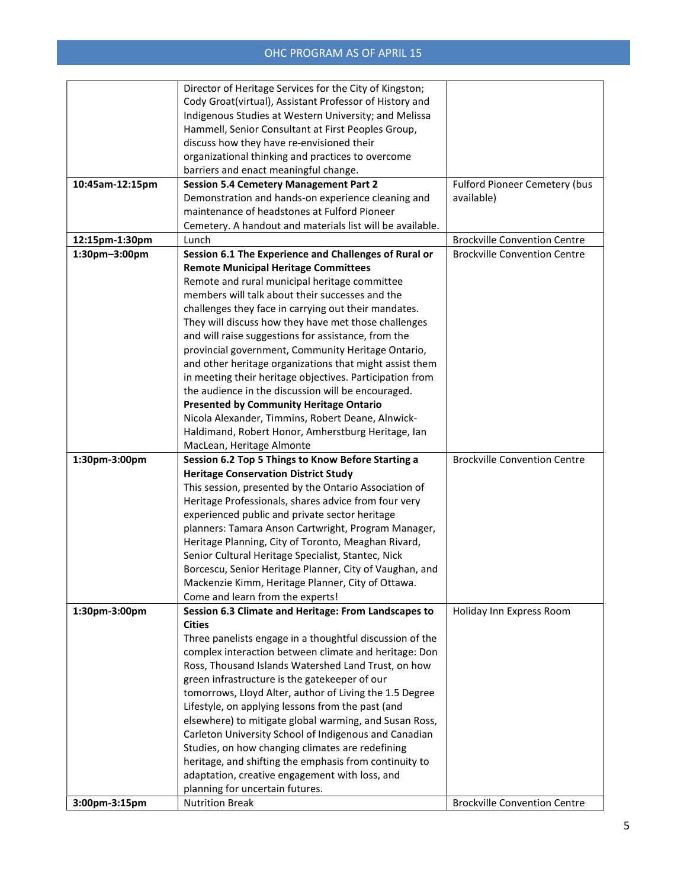|                 | Director of Heritage Services for the City of Kingston;   |                                     |
|-----------------|-----------------------------------------------------------|-------------------------------------|
|                 | Cody Groat(virtual), Assistant Professor of History and   |                                     |
|                 | Indigenous Studies at Western University; and Melissa     |                                     |
|                 | Hammell, Senior Consultant at First Peoples Group,        |                                     |
|                 | discuss how they have re-envisioned their                 |                                     |
|                 | organizational thinking and practices to overcome         |                                     |
|                 | barriers and enact meaningful change.                     |                                     |
| 10:45am-12:15pm | <b>Session 5.4 Cemetery Management Part 2</b>             | Fulford Pioneer Cemetery (bus       |
|                 | Demonstration and hands-on experience cleaning and        | available)                          |
|                 | maintenance of headstones at Fulford Pioneer              |                                     |
|                 | Cemetery. A handout and materials list will be available. |                                     |
| 12:15pm-1:30pm  | Lunch                                                     | <b>Brockville Convention Centre</b> |
| 1:30pm-3:00pm   | Session 6.1 The Experience and Challenges of Rural or     | <b>Brockville Convention Centre</b> |
|                 | <b>Remote Municipal Heritage Committees</b>               |                                     |
|                 | Remote and rural municipal heritage committee             |                                     |
|                 | members will talk about their successes and the           |                                     |
|                 | challenges they face in carrying out their mandates.      |                                     |
|                 | They will discuss how they have met those challenges      |                                     |
|                 | and will raise suggestions for assistance, from the       |                                     |
|                 | provincial government, Community Heritage Ontario,        |                                     |
|                 | and other heritage organizations that might assist them   |                                     |
|                 | in meeting their heritage objectives. Participation from  |                                     |
|                 | the audience in the discussion will be encouraged.        |                                     |
|                 | <b>Presented by Community Heritage Ontario</b>            |                                     |
|                 | Nicola Alexander, Timmins, Robert Deane, Alnwick-         |                                     |
|                 | Haldimand, Robert Honor, Amherstburg Heritage, Ian        |                                     |
|                 | MacLean, Heritage Almonte                                 |                                     |
| 1:30pm-3:00pm   | Session 6.2 Top 5 Things to Know Before Starting a        | <b>Brockville Convention Centre</b> |
|                 | <b>Heritage Conservation District Study</b>               |                                     |
|                 | This session, presented by the Ontario Association of     |                                     |
|                 | Heritage Professionals, shares advice from four very      |                                     |
|                 | experienced public and private sector heritage            |                                     |
|                 | planners: Tamara Anson Cartwright, Program Manager,       |                                     |
|                 | Heritage Planning, City of Toronto, Meaghan Rivard,       |                                     |
|                 |                                                           |                                     |
|                 | Senior Cultural Heritage Specialist, Stantec, Nick        |                                     |
|                 | Borcescu, Senior Heritage Planner, City of Vaughan, and   |                                     |
|                 | Mackenzie Kimm, Heritage Planner, City of Ottawa.         |                                     |
|                 | Come and learn from the experts!                          |                                     |
| 1:30pm-3:00pm   | Session 6.3 Climate and Heritage: From Landscapes to      | Holiday Inn Express Room            |
|                 | <b>Cities</b>                                             |                                     |
|                 | Three panelists engage in a thoughtful discussion of the  |                                     |
|                 | complex interaction between climate and heritage: Don     |                                     |
|                 | Ross, Thousand Islands Watershed Land Trust, on how       |                                     |
|                 | green infrastructure is the gatekeeper of our             |                                     |
|                 | tomorrows, Lloyd Alter, author of Living the 1.5 Degree   |                                     |
|                 | Lifestyle, on applying lessons from the past (and         |                                     |
|                 | elsewhere) to mitigate global warming, and Susan Ross,    |                                     |
|                 | Carleton University School of Indigenous and Canadian     |                                     |
|                 | Studies, on how changing climates are redefining          |                                     |
|                 | heritage, and shifting the emphasis from continuity to    |                                     |
|                 | adaptation, creative engagement with loss, and            |                                     |
| 3:00pm-3:15pm   | planning for uncertain futures.<br><b>Nutrition Break</b> | <b>Brockville Convention Centre</b> |